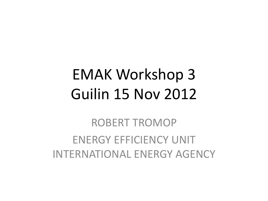### EMAK Workshop 3 Guilin 15 Nov 2012

ROBERT TROMOP ENERGY EFFICIENCY UNIT INTERNATIONAL ENERGY AGENCY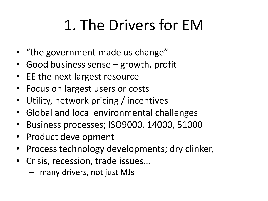## 1. The Drivers for EM

- "the government made us change"
- Good business sense growth, profit
- EE the next largest resource
- Focus on largest users or costs
- Utility, network pricing / incentives
- Global and local environmental challenges
- Business processes; ISO9000, 14000, 51000
- Product development
- Process technology developments; dry clinker,
- Crisis, recession, trade issues…
	- many drivers, not just MJs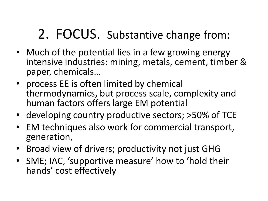#### 2. FOCUS. Substantive change from:

- Much of the potential lies in a few growing energy intensive industries: mining, metals, cement, timber & paper, chemicals…
- process EE is often limited by chemical thermodynamics, but process scale, complexity and human factors offers large EM potential
- developing country productive sectors; >50% of TCE
- EM techniques also work for commercial transport, generation,
- Broad view of drivers; productivity not just GHG
- SME; IAC, 'supportive measure' how to 'hold their hands' cost effectively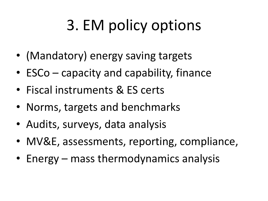# 3. EM policy options

- (Mandatory) energy saving targets
- ESCo capacity and capability, finance
- Fiscal instruments & ES certs
- Norms, targets and benchmarks
- Audits, surveys, data analysis
- MV&E, assessments, reporting, compliance,
- Energy mass thermodynamics analysis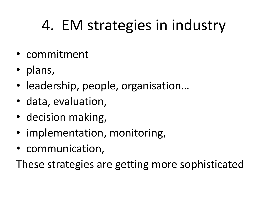## 4. EM strategies in industry

- commitment
- plans,
- leadership, people, organisation...
- data, evaluation,
- decision making,
- implementation, monitoring,
- communication,

These strategies are getting more sophisticated